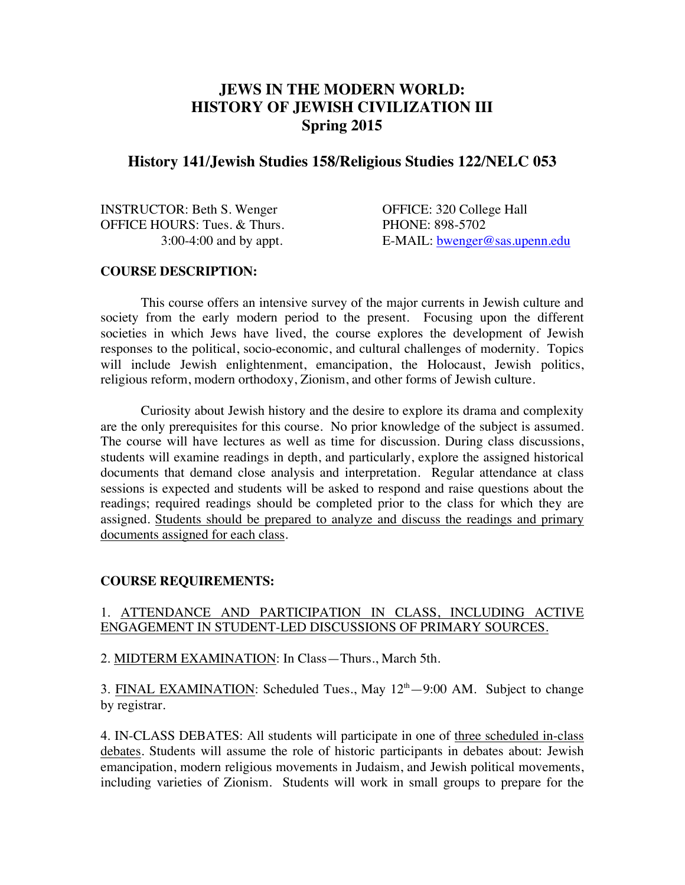# **JEWS IN THE MODERN WORLD: HISTORY OF JEWISH CIVILIZATION III Spring 2015**

# **History 141/Jewish Studies 158/Religious Studies 122/NELC 053**

INSTRUCTOR: Beth S. Wenger OFFICE: 320 College Hall OFFICE HOURS: Tues. & Thurs. PHONE: 898-5702

3:00-4:00 and by appt. E-MAIL: bwenger@sas.upenn.edu

### **COURSE DESCRIPTION:**

This course offers an intensive survey of the major currents in Jewish culture and society from the early modern period to the present. Focusing upon the different societies in which Jews have lived, the course explores the development of Jewish responses to the political, socio-economic, and cultural challenges of modernity. Topics will include Jewish enlightenment, emancipation, the Holocaust, Jewish politics, religious reform, modern orthodoxy, Zionism, and other forms of Jewish culture.

Curiosity about Jewish history and the desire to explore its drama and complexity are the only prerequisites for this course. No prior knowledge of the subject is assumed. The course will have lectures as well as time for discussion. During class discussions, students will examine readings in depth, and particularly, explore the assigned historical documents that demand close analysis and interpretation. Regular attendance at class sessions is expected and students will be asked to respond and raise questions about the readings; required readings should be completed prior to the class for which they are assigned. Students should be prepared to analyze and discuss the readings and primary documents assigned for each class.

# **COURSE REQUIREMENTS:**

## 1. ATTENDANCE AND PARTICIPATION IN CLASS, INCLUDING ACTIVE ENGAGEMENT IN STUDENT-LED DISCUSSIONS OF PRIMARY SOURCES.

2. MIDTERM EXAMINATION: In Class—Thurs., March 5th.

3. FINAL EXAMINATION: Scheduled Tues., May  $12<sup>th</sup> - 9:00$  AM. Subject to change by registrar.

4. IN-CLASS DEBATES: All students will participate in one of three scheduled in-class debates. Students will assume the role of historic participants in debates about: Jewish emancipation, modern religious movements in Judaism, and Jewish political movements, including varieties of Zionism. Students will work in small groups to prepare for the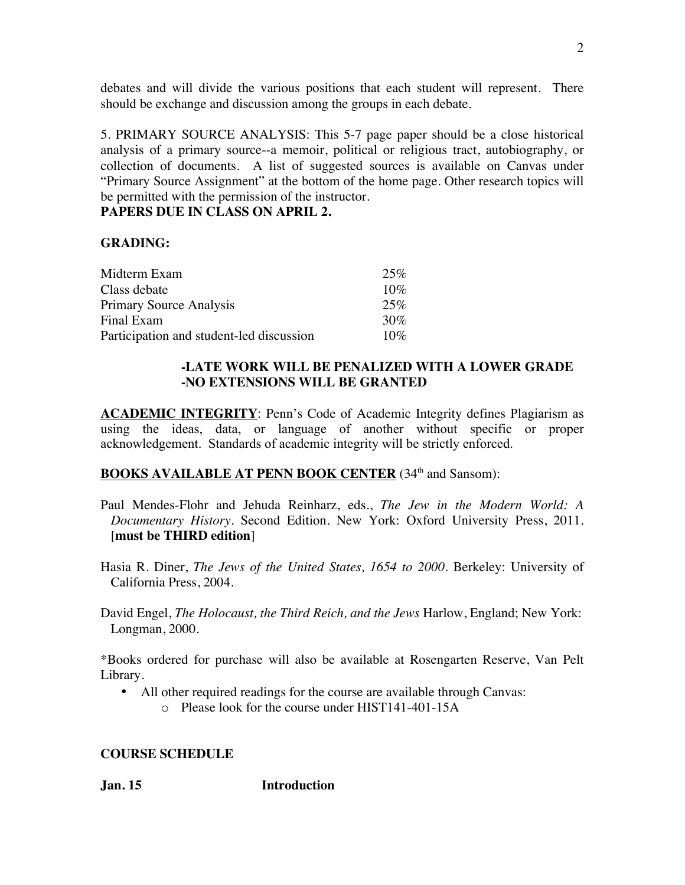debates and will divide the various positions that each student will represent. There should be exchange and discussion among the groups in each debate.

5. PRIMARY SOURCE ANALYSIS: This 5-7 page paper should be a close historical analysis of a primary source--a memoir, political or religious tract, autobiography, or collection of documents. A list of suggested sources is available on Canvas under "Primary Source Assignment" at the bottom of the home page. Other research topics will be permitted with the permission of the instructor.

# **PAPERS DUE IN CLASS ON APRIL 2.**

## **GRADING:**

| Midterm Exam                             | 25%    |
|------------------------------------------|--------|
| Class debate                             | 10%    |
| Primary Source Analysis                  | 25%    |
| Final Exam                               | 30%    |
| Participation and student-led discussion | $10\%$ |

## **-LATE WORK WILL BE PENALIZED WITH A LOWER GRADE -NO EXTENSIONS WILL BE GRANTED**

**ACADEMIC INTEGRITY**: Penn's Code of Academic Integrity defines Plagiarism as using the ideas, data, or language of another without specific or proper acknowledgement. Standards of academic integrity will be strictly enforced.

# **BOOKS AVAILABLE AT PENN BOOK CENTER** (34<sup>th</sup> and Sansom):

- Paul Mendes-Flohr and Jehuda Reinharz, eds., *The Jew in the Modern World: A Documentary History*. Second Edition. New York: Oxford University Press, 2011. [**must be THIRD edition**]
- Hasia R. Diner, *The Jews of the United States, 1654 to 2000*. Berkeley: University of California Press, 2004.
- David Engel, *The Holocaust, the Third Reich, and the Jews* Harlow, England; New York: Longman, 2000*.*

\*Books ordered for purchase will also be available at Rosengarten Reserve, Van Pelt Library.

- All other required readings for the course are available through Canvas:
	- o Please look for the course under HIST141-401-15A

### **COURSE SCHEDULE**

**Jan. 15 Introduction**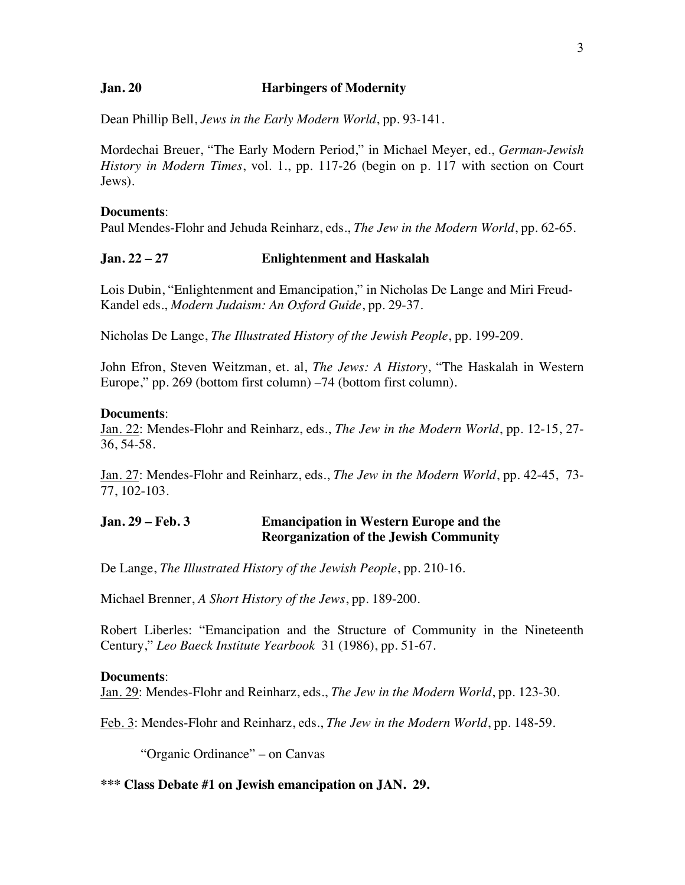### **Jan. 20 Harbingers of Modernity**

Dean Phillip Bell, *Jews in the Early Modern World*, pp. 93-141.

Mordechai Breuer, "The Early Modern Period," in Michael Meyer, ed., *German-Jewish History in Modern Times*, vol. 1., pp. 117-26 (begin on p. 117 with section on Court Jews).

#### **Documents**:

Paul Mendes-Flohr and Jehuda Reinharz, eds., *The Jew in the Modern World*, pp. 62-65.

### **Jan. 22 – 27 Enlightenment and Haskalah**

Lois Dubin, "Enlightenment and Emancipation," in Nicholas De Lange and Miri Freud-Kandel eds., *Modern Judaism: An Oxford Guide*, pp. 29-37.

Nicholas De Lange, *The Illustrated History of the Jewish People*, pp. 199-209.

John Efron, Steven Weitzman, et. al, *The Jews: A History*, "The Haskalah in Western Europe," pp. 269 (bottom first column) –74 (bottom first column).

### **Documents**:

Jan. 22: Mendes-Flohr and Reinharz, eds., *The Jew in the Modern World*, pp. 12-15, 27- 36, 54-58.

Jan. 27: Mendes-Flohr and Reinharz, eds., *The Jew in the Modern World*, pp. 42-45, 73- 77, 102-103.

## **Jan. 29 – Feb. 3 Emancipation in Western Europe and the Reorganization of the Jewish Community**

De Lange, *The Illustrated History of the Jewish People*, pp. 210-16.

Michael Brenner, *A Short History of the Jews*, pp. 189-200.

Robert Liberles: "Emancipation and the Structure of Community in the Nineteenth Century," *Leo Baeck Institute Yearbook* 31 (1986), pp. 51-67.

#### **Documents**:

Jan. 29: Mendes-Flohr and Reinharz, eds., *The Jew in the Modern World*, pp. 123-30.

Feb. 3: Mendes-Flohr and Reinharz, eds., *The Jew in the Modern World*, pp. 148-59.

"Organic Ordinance" – on Canvas

#### **\*\*\* Class Debate #1 on Jewish emancipation on JAN. 29.**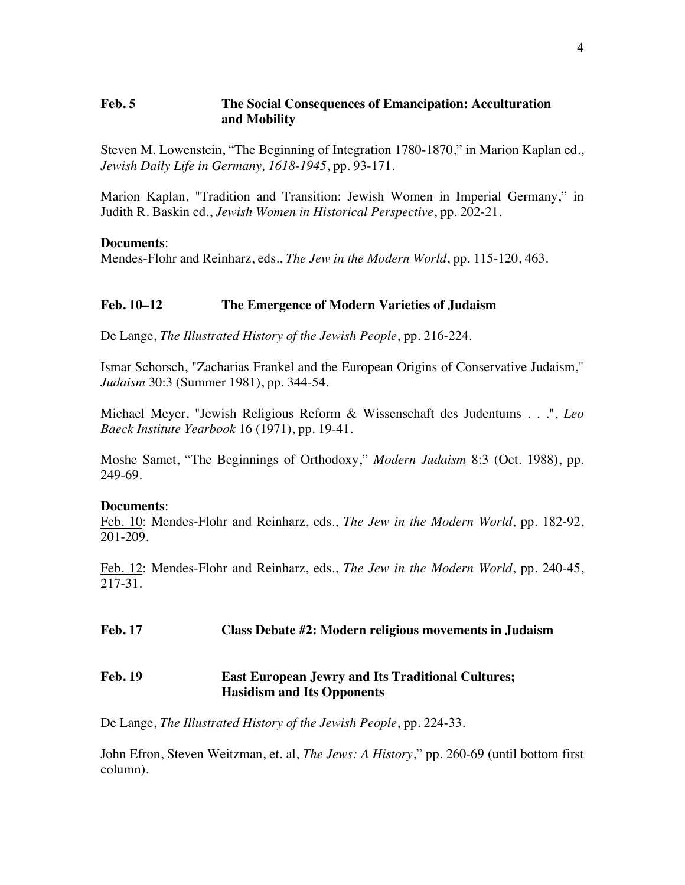# **Feb. 5 The Social Consequences of Emancipation: Acculturation and Mobility**

Steven M. Lowenstein, "The Beginning of Integration 1780-1870," in Marion Kaplan ed., *Jewish Daily Life in Germany, 1618-1945*, pp. 93-171.

Marion Kaplan, "Tradition and Transition: Jewish Women in Imperial Germany," in Judith R. Baskin ed., *Jewish Women in Historical Perspective*, pp. 202-21.

### **Documents**:

Mendes-Flohr and Reinharz, eds., *The Jew in the Modern World*, pp. 115-120, 463.

# **Feb. 10–12 The Emergence of Modern Varieties of Judaism**

De Lange, *The Illustrated History of the Jewish People*, pp. 216-224.

Ismar Schorsch, "Zacharias Frankel and the European Origins of Conservative Judaism," *Judaism* 30:3 (Summer 1981), pp. 344-54.

Michael Meyer, "Jewish Religious Reform & Wissenschaft des Judentums . . .", *Leo Baeck Institute Yearbook* 16 (1971), pp. 19-41.

Moshe Samet, "The Beginnings of Orthodoxy," *Modern Judaism* 8:3 (Oct. 1988), pp. 249-69.

### **Documents**:

Feb. 10: Mendes-Flohr and Reinharz, eds., *The Jew in the Modern World*, pp. 182-92, 201-209.

Feb. 12: Mendes-Flohr and Reinharz, eds., *The Jew in the Modern World*, pp. 240-45, 217-31.

**Feb. 17 Class Debate #2: Modern religious movements in Judaism**

# **Feb. 19 East European Jewry and Its Traditional Cultures; Hasidism and Its Opponents**

De Lange, *The Illustrated History of the Jewish People*, pp. 224-33.

John Efron, Steven Weitzman, et. al, *The Jews: A History*," pp. 260-69 (until bottom first column).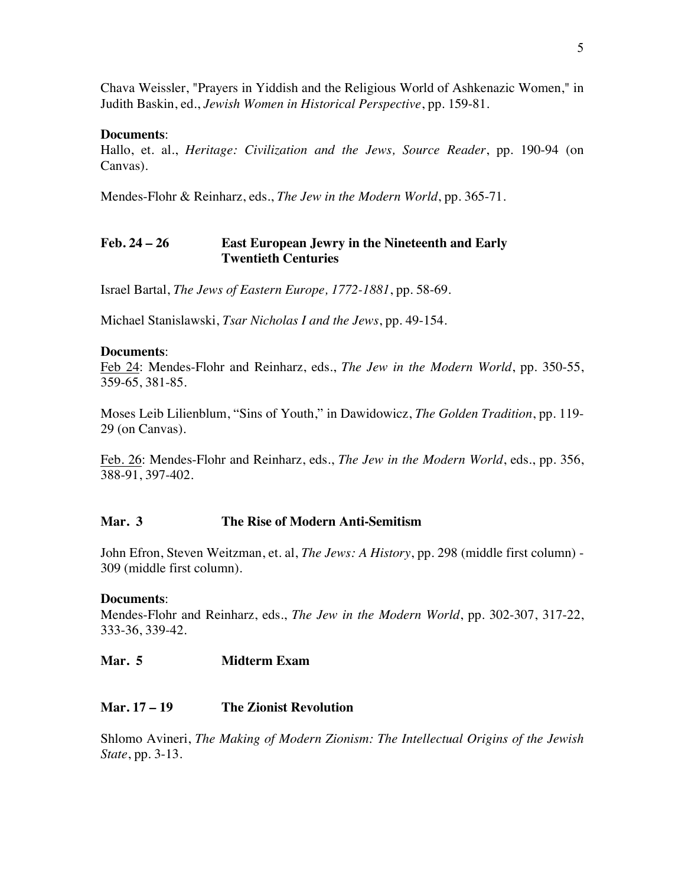Chava Weissler, "Prayers in Yiddish and the Religious World of Ashkenazic Women," in Judith Baskin, ed., *Jewish Women in Historical Perspective*, pp. 159-81.

# **Documents**:

Hallo, et. al., *Heritage: Civilization and the Jews, Source Reader*, pp. 190-94 (on Canvas).

Mendes-Flohr & Reinharz, eds., *The Jew in the Modern World*, pp. 365-71.

# **Feb. 24 – 26 East European Jewry in the Nineteenth and Early Twentieth Centuries**

Israel Bartal, *The Jews of Eastern Europe, 1772-1881*, pp. 58-69.

Michael Stanislawski, *Tsar Nicholas I and the Jews*, pp. 49-154.

### **Documents**:

Feb 24: Mendes-Flohr and Reinharz, eds., *The Jew in the Modern World*, pp. 350-55, 359-65, 381-85.

Moses Leib Lilienblum, "Sins of Youth," in Dawidowicz, *The Golden Tradition*, pp. 119- 29 (on Canvas).

Feb. 26: Mendes-Flohr and Reinharz, eds., *The Jew in the Modern World*, eds., pp. 356, 388-91, 397-402.

# **Mar. 3 The Rise of Modern Anti-Semitism**

John Efron, Steven Weitzman, et. al, *The Jews: A History*, pp. 298 (middle first column) - 309 (middle first column).

# **Documents**:

Mendes-Flohr and Reinharz, eds., *The Jew in the Modern World*, pp. 302-307, 317-22, 333-36, 339-42.

# **Mar. 5 Midterm Exam**

# **Mar. 17 – 19 The Zionist Revolution**

Shlomo Avineri, *The Making of Modern Zionism: The Intellectual Origins of the Jewish State*, pp. 3-13.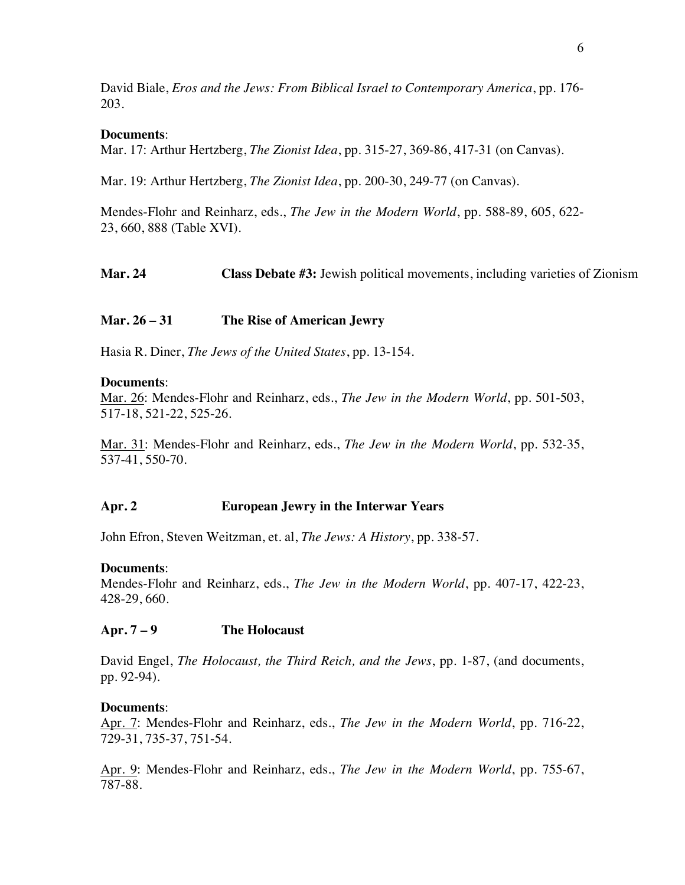David Biale, *Eros and the Jews: From Biblical Israel to Contemporary America*, pp. 176- 203.

## **Documents**:

Mar. 17: Arthur Hertzberg, *The Zionist Idea*, pp. 315-27, 369-86, 417-31 (on Canvas).

Mar. 19: Arthur Hertzberg, *The Zionist Idea*, pp. 200-30, 249-77 (on Canvas).

Mendes-Flohr and Reinharz, eds., *The Jew in the Modern World*, pp. 588-89, 605, 622- 23, 660, 888 (Table XVI).

**Mar. 24 Class Debate #3:** Jewish political movements, including varieties of Zionism

## **Mar. 26 – 31 The Rise of American Jewry**

Hasia R. Diner, *The Jews of the United States*, pp. 13-154.

### **Documents**:

Mar. 26: Mendes-Flohr and Reinharz, eds., *The Jew in the Modern World*, pp. 501-503, 517-18, 521-22, 525-26.

Mar. 31: Mendes-Flohr and Reinharz, eds., *The Jew in the Modern World*, pp. 532-35, 537-41, 550-70.

### **Apr. 2 European Jewry in the Interwar Years**

John Efron, Steven Weitzman, et. al, *The Jews: A History*, pp. 338-57.

### **Documents**:

Mendes-Flohr and Reinharz, eds., *The Jew in the Modern World*, pp. 407-17, 422-23, 428-29, 660.

### **Apr. 7 – 9 The Holocaust**

David Engel, *The Holocaust, the Third Reich, and the Jews*, pp. 1-87, (and documents, pp. 92-94).

### **Documents**:

Apr. 7: Mendes-Flohr and Reinharz, eds., *The Jew in the Modern World*, pp. 716-22, 729-31, 735-37, 751-54.

Apr. 9: Mendes-Flohr and Reinharz, eds., *The Jew in the Modern World*, pp. 755-67, 787-88.